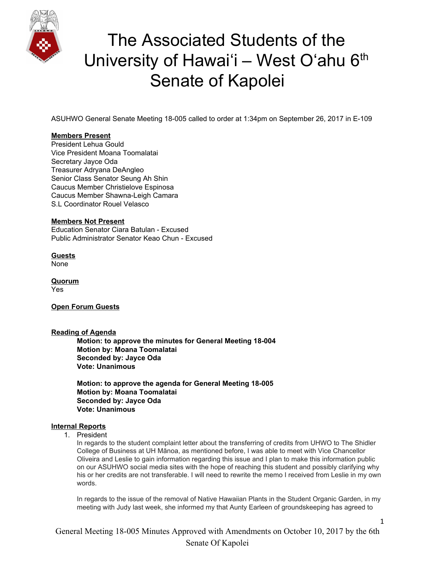

ASUHWO General Senate Meeting 18-005 called to order at 1:34pm on September 26, 2017 in E-109

#### **Members Present**

President Lehua Gould Vice President Moana Toomalatai Secretary Jayce Oda Treasurer Adryana DeAngleo Senior Class Senator Seung Ah Shin Caucus Member Christielove Espinosa Caucus Member Shawna-Leigh Camara S.L Coordinator Rouel Velasco

#### **Members Not Present**

Education Senator Ciara Batulan - Excused Public Administrator Senator Keao Chun - Excused

**Guests** None

**Quorum** Yes

**Open Forum Guests**

#### **Reading of Agenda**

**Motion: to approve the minutes for General Meeting 18-004 Motion by: Moana Toomalatai Seconded by: Jayce Oda Vote: Unanimous**

**Motion: to approve the agenda for General Meeting 18-005 Motion by: Moana Toomalatai Seconded by: Jayce Oda Vote: Unanimous**

#### **Internal Reports**

1. President

In regards to the student complaint letter about the transferring of credits from UHWO to The Shidler College of Business at UH Mānoa, as mentioned before, I was able to meet with Vice Chancellor Oliveira and Leslie to gain information regarding this issue and I plan to make this information public on our ASUHWO social media sites with the hope of reaching this student and possibly clarifying why his or her credits are not transferable. I will need to rewrite the memo I received from Leslie in my own words.

In regards to the issue of the removal of Native Hawaiian Plants in the Student Organic Garden, in my meeting with Judy last week, she informed my that Aunty Earleen of groundskeeping has agreed to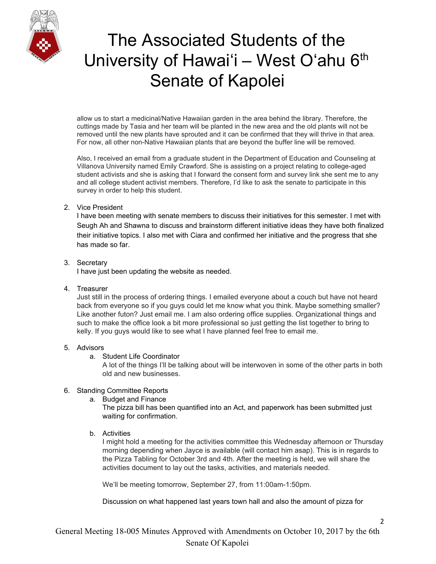

allow us to start a medicinal/Native Hawaiian garden in the area behind the library. Therefore, the cuttings made by Tasia and her team will be planted in the new area and the old plants will not be removed until the new plants have sprouted and it can be confirmed that they will thrive in that area. For now, all other non-Native Hawaiian plants that are beyond the buffer line will be removed.

Also, I received an email from a graduate student in the Department of Education and Counseling at Villanova University named Emily Crawford. She is assisting on a project relating to college-aged student activists and she is asking that I forward the consent form and survey link she sent me to any and all college student activist members. Therefore, I'd like to ask the senate to participate in this survey in order to help this student.

### 2. Vice President

I have been meeting with senate members to discuss their initiatives for this semester. I met with Seugh Ah and Shawna to discuss and brainstorm different initiative ideas they have both finalized their initiative topics. I also met with Ciara and confirmed her initiative and the progress that she has made so far.

### 3. Secretary

I have just been updating the website as needed.

4. Treasurer

Just still in the process of ordering things. I emailed everyone about a couch but have not heard back from everyone so if you guys could let me know what you think. Maybe something smaller? Like another futon? Just email me. I am also ordering office supplies. Organizational things and such to make the office look a bit more professional so just getting the list together to bring to kelly. If you guys would like to see what I have planned feel free to email me.

### 5. Advisors

a. Student Life Coordinator

A lot of the things I'll be talking about will be interwoven in some of the other parts in both old and new businesses.

### 6. Standing Committee Reports

a. Budget and Finance

The pizza bill has been quantified into an Act, and paperwork has been submitted just waiting for confirmation.

b. Activities

I might hold a meeting for the activities committee this Wednesday afternoon or Thursday morning depending when Jayce is available (will contact him asap). This is in regards to the Pizza Tabling for October 3rd and 4th. After the meeting is held, we will share the activities document to lay out the tasks, activities, and materials needed.

We'll be meeting tomorrow, September 27, from 11:00am-1:50pm.

Discussion on what happened last years town hall and also the amount of pizza for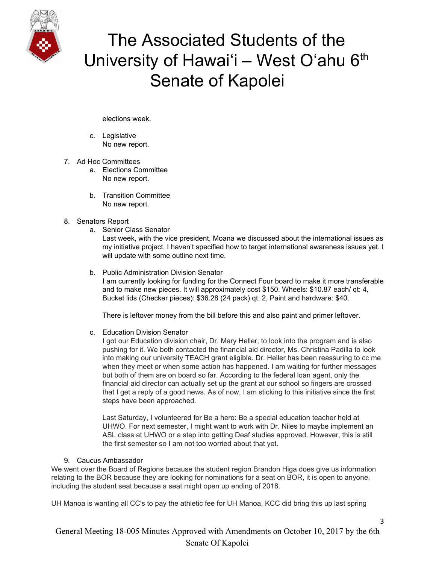

elections week.

- c. Legislative No new report.
- 7. Ad Hoc Committees
	- a. Elections Committee No new report.
	- b. Transition Committee No new report.
- 8. Senators Report
	- a. Senior Class Senator

Last week, with the vice president, Moana we discussed about the international issues as my initiative project. I haven't specified how to target international awareness issues yet. I will update with some outline next time.

b. Public Administration Division Senator I am currently looking for funding for the Connect Four board to make it more transferable and to make new pieces. It will approximately cost \$150. Wheels: \$10.87 each/ qt: 4, Bucket lids (Checker pieces): \$36.28 (24 pack) qt: 2, Paint and hardware: \$40.

There is leftover money from the bill before this and also paint and primer leftover.

c. Education Division Senator

I got our Education division chair, Dr. Mary Heller, to look into the program and is also pushing for it. We both contacted the financial aid director, Ms. Christina Padilla to look into making our university TEACH grant eligible. Dr. Heller has been reassuring to cc me when they meet or when some action has happened. I am waiting for further messages but both of them are on board so far. According to the federal loan agent, only the financial aid director can actually set up the grant at our school so fingers are crossed that I get a reply of a good news. As of now, I am sticking to this initiative since the first steps have been approached.

Last Saturday, I volunteered for Be a hero: Be a special education teacher held at UHWO. For next semester, I might want to work with Dr. Niles to maybe implement an ASL class at UHWO or a step into getting Deaf studies approved. However, this is still the first semester so I am not too worried about that yet.

#### 9. Caucus Ambassador

We went over the Board of Regions because the student region Brandon Higa does give us information relating to the BOR because they are looking for nominations for a seat on BOR, it is open to anyone, including the student seat because a seat might open up ending of 2018.

UH Manoa is wanting all CC's to pay the athletic fee for UH Manoa, KCC did bring this up last spring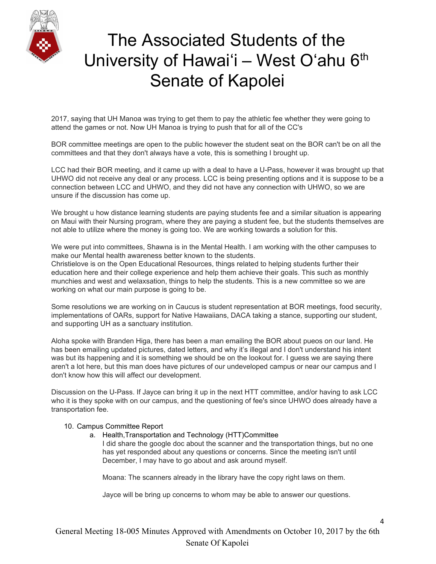

2017, saying that UH Manoa was trying to get them to pay the athletic fee whether they were going to attend the games or not. Now UH Manoa is trying to push that for all of the CC's

BOR committee meetings are open to the public however the student seat on the BOR can't be on all the committees and that they don't always have a vote, this is something I brought up.

LCC had their BOR meeting, and it came up with a deal to have a U-Pass, however it was brought up that UHWO did not receive any deal or any process. LCC is being presenting options and it is suppose to be a connection between LCC and UHWO, and they did not have any connection with UHWO, so we are unsure if the discussion has come up.

We brought u how distance learning students are paying students fee and a similar situation is appearing on Maui with their Nursing program, where they are paying a student fee, but the students themselves are not able to utilize where the money is going too. We are working towards a solution for this.

We were put into committees, Shawna is in the Mental Health. I am working with the other campuses to make our Mental health awareness better known to the students. Christielove is on the Open Educational Resources, things related to helping students further their

education here and their college experience and help them achieve their goals. This such as monthly munchies and west and welaxsation, things to help the students. This is a new committee so we are working on what our main purpose is going to be.

Some resolutions we are working on in Caucus is student representation at BOR meetings, food security, implementations of OARs, support for Native Hawaiians, DACA taking a stance, supporting our student, and supporting UH as a sanctuary institution.

Aloha spoke with Branden Higa, there has been a man emailing the BOR about pueos on our land. He has been emailing updated pictures, dated letters, and why it's illegal and I don't understand his intent was but its happening and it is something we should be on the lookout for. I guess we are saying there aren't a lot here, but this man does have pictures of our undeveloped campus or near our campus and I don't know how this will affect our development.

Discussion on the U-Pass. If Jayce can bring it up in the next HTT committee, and/or having to ask LCC who it is they spoke with on our campus, and the questioning of fee's since UHWO does already have a transportation fee.

#### 10. Campus Committee Report

a. Health,Transportation and Technology (HTT)Committee

I did share the google doc about the scanner and the transportation things, but no one has yet responded about any questions or concerns. Since the meeting isn't until December, I may have to go about and ask around myself.

Moana: The scanners already in the library have the copy right laws on them.

Jayce will be bring up concerns to whom may be able to answer our questions.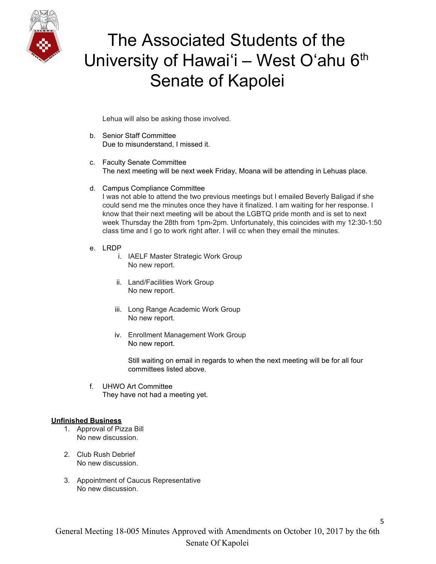

Lehua will also be asking those involved.

- b. Senior Staff Committee Due to misunderstand, I missed it.
- c. Faculty Senate Committee The next meeting will be next week Friday, Moana will be attending in Lehuas place.
- d. Campus Compliance Committee I was not able to attend the two previous meetings but I emailed Beverly Baligad if she could send me the minutes once they have it finalized. I am waiting for her response. I know that their next meeting will be about the LGBTQ pride month and is set to next week Thursday the 28th from 1pm-2pm. Unfortunately, this coincides with my 12:30-1:50 class time and I go to work right after. I will cc when they email the minutes.
- e. LRDP
	- i. IAELF Master Strategic Work Group No new report.
	- ii. Land/Facilities Work Group No new report.
	- iii. Long Range Academic Work Group No new report.
	- iv. Enrollment Management Work Group No new report.

Still waiting on email in regards to when the next meeting will be for all four committees listed above.

f. UHWO Art Committee They have not had a meeting yet.

#### **Unfinished Business**

- 1. Approval of Pizza Bill No new discussion.
- 2. Club Rush Debrief No new discussion.
- 3. Appointment of Caucus Representative No new discussion.

5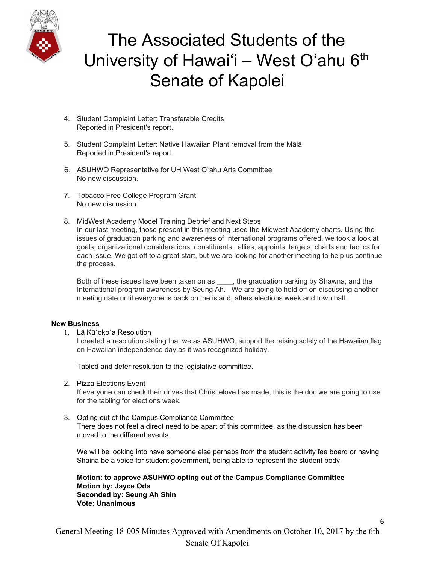

- 4. Student Complaint Letter: Transferable Credits Reported in President's report.
- 5. Student Complaint Letter: Native Hawaiian Plant removal from the Mālā Reported in President's report.
- 6. ASUHWO Representative for UH West Oʻahu Arts Committee No new discussion.
- 7. Tobacco Free College Program Grant No new discussion.
- 8. MidWest Academy Model Training Debrief and Next Steps In our last meeting, those present in this meeting used the Midwest Academy charts. Using the issues of graduation parking and awareness of International programs offered, we took a look at goals, organizational considerations, constituents, allies, appoints, targets, charts and tactics for each issue. We got off to a great start, but we are looking for another meeting to help us continue the process.

Both of these issues have been taken on as \_\_\_\_, the graduation parking by Shawna, and the International program awareness by Seung Ah. We are going to hold off on discussing another meeting date until everyone is back on the island, afters elections week and town hall.

#### **New Business**

1. Lā Kūʻokoʻa Resolution

I created a resolution stating that we as ASUHWO, support the raising solely of the Hawaiian flag on Hawaiian independence day as it was recognized holiday.

Tabled and defer resolution to the legislative committee.

2. Pizza Elections Event

If everyone can check their drives that Christielove has made, this is the doc we are going to use for the tabling for elections week.

3. Opting out of the Campus Compliance Committee There does not feel a direct need to be apart of this committee, as the discussion has been moved to the different events.

We will be looking into have someone else perhaps from the student activity fee board or having Shaina be a voice for student government, being able to represent the student body.

6

**Motion: to approve ASUHWO opting out of the Campus Compliance Committee Motion by: Jayce Oda Seconded by: Seung Ah Shin Vote: Unanimous**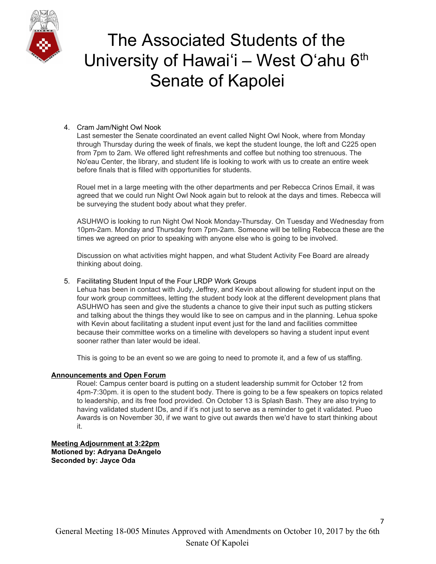

### 4. Cram Jam/Night Owl Nook

Last semester the Senate coordinated an event called Night Owl Nook, where from Monday through Thursday during the week of finals, we kept the student lounge, the loft and C225 open from 7pm to 2am. We offered light refreshments and coffee but nothing too strenuous. The No'eau Center, the library, and student life is looking to work with us to create an entire week before finals that is filled with opportunities for students.

Rouel met in a large meeting with the other departments and per Rebecca Crinos Email, it was agreed that we could run Night Owl Nook again but to relook at the days and times. Rebecca will be surveying the student body about what they prefer.

ASUHWO is looking to run Night Owl Nook Monday-Thursday. On Tuesday and Wednesday from 10pm-2am. Monday and Thursday from 7pm-2am. Someone will be telling Rebecca these are the times we agreed on prior to speaking with anyone else who is going to be involved.

Discussion on what activities might happen, and what Student Activity Fee Board are already thinking about doing.

### 5. Facilitating Student Input of the Four LRDP Work Groups

Lehua has been in contact with Judy, Jeffrey, and Kevin about allowing for student input on the four work group committees, letting the student body look at the different development plans that ASUHWO has seen and give the students a chance to give their input such as putting stickers and talking about the things they would like to see on campus and in the planning. Lehua spoke with Kevin about facilitating a student input event just for the land and facilities committee because their committee works on a timeline with developers so having a student input event sooner rather than later would be ideal.

This is going to be an event so we are going to need to promote it, and a few of us staffing.

#### **Announcements and Open Forum**

Rouel: Campus center board is putting on a student leadership summit for October 12 from 4pm-7:30pm. it is open to the student body. There is going to be a few speakers on topics related to leadership, and its free food provided. On October 13 is Splash Bash. They are also trying to having validated student IDs, and if it's not just to serve as a reminder to get it validated. Pueo Awards is on November 30, if we want to give out awards then we'd have to start thinking about it.

**Meeting Adjournment at 3:22pm Motioned by: Adryana DeAngelo Seconded by: Jayce Oda**

7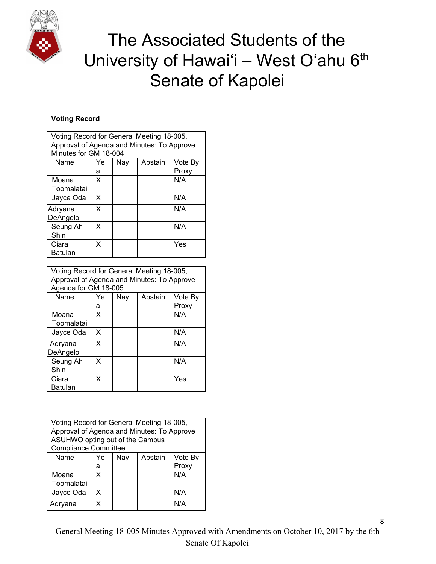

### **Voting Record**

| Voting Record for General Meeting 18-005,<br>Approval of Agenda and Minutes: To Approve<br>Minutes for GM 18-004 |    |     |         |         |
|------------------------------------------------------------------------------------------------------------------|----|-----|---------|---------|
| Name                                                                                                             | Ye | Nav | Abstain | Vote By |
|                                                                                                                  | а  |     |         | Proxy   |
| Moana                                                                                                            | x  |     |         | N/A     |
| Toomalatai                                                                                                       |    |     |         |         |
| Jayce Oda                                                                                                        | X  |     |         | N/A     |
| Adryana<br>DeAngelo                                                                                              | x  |     |         | N/A     |
| Seung Ah<br>Shin                                                                                                 | X  |     |         | N/A     |
| Ciara<br><b>Batulan</b>                                                                                          | X  |     |         | Yes     |

| Voting Record for General Meeting 18-005,<br>Approval of Agenda and Minutes: To Approve<br>Agenda for GM 18-005 |    |     |         |         |
|-----------------------------------------------------------------------------------------------------------------|----|-----|---------|---------|
|                                                                                                                 |    |     |         |         |
| Name                                                                                                            | Ye | Nay | Abstain | Vote By |
|                                                                                                                 | а  |     |         | Proxy   |
| Moana                                                                                                           | X  |     |         | N/A     |
| Toomalatai                                                                                                      |    |     |         |         |
| Jayce Oda                                                                                                       | X  |     |         | N/A     |
| Adryana<br>DeAngelo                                                                                             | X  |     |         | N/A     |
| Seung Ah<br>Shin                                                                                                | x  |     |         | N/A     |
| Ciara<br>Batulan                                                                                                | X  |     |         | Yes     |

| Voting Record for General Meeting 18-005,<br>Approval of Agenda and Minutes: To Approve<br>ASUHWO opting out of the Campus<br><b>Compliance Committee</b> |    |     |         |         |  |
|-----------------------------------------------------------------------------------------------------------------------------------------------------------|----|-----|---------|---------|--|
| Name                                                                                                                                                      | Ye | Nay | Abstain | Vote By |  |
|                                                                                                                                                           | а  |     |         | Proxy   |  |
| Moana<br>Toomalatai                                                                                                                                       | x  |     |         | N/A     |  |
|                                                                                                                                                           |    |     |         |         |  |
| Jayce Oda                                                                                                                                                 | x  |     |         | N/A     |  |
| Adryana                                                                                                                                                   | x  |     |         | N/A     |  |